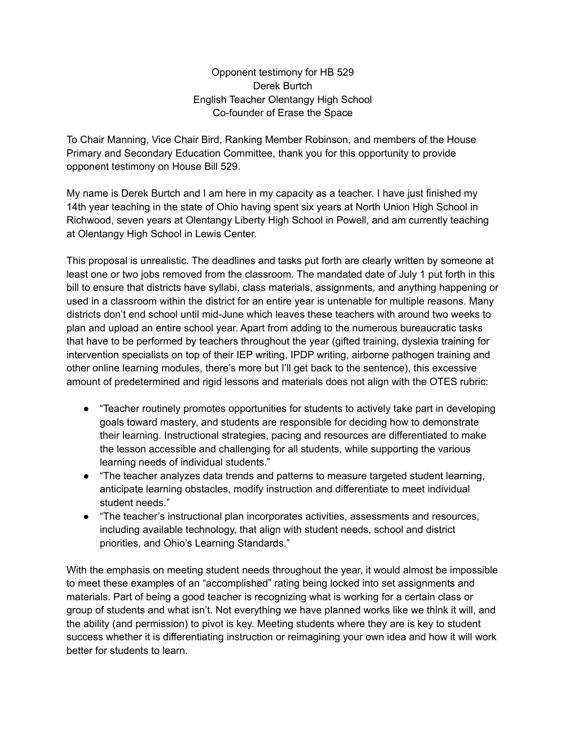Opponent testimony for HB 529 Derek Burtch English Teacher Olentangy High School Co-founder of Erase the Space

To Chair Manning, Vice Chair Bird, Ranking Member Robinson, and members of the House Primary and Secondary Education Committee, thank you for this opportunity to provide opponent testimony on House Bill 529.

My name is Derek Burtch and I am here in my capacity as a teacher. I have just finished my 14th year teaching in the state of Ohio having spent six years at North Union High School in Richwood, seven years at Olentangy Liberty High School in Powell, and am currently teaching at Olentangy High School in Lewis Center.

This proposal is unrealistic. The deadlines and tasks put forth are clearly written by someone at least one or two jobs removed from the classroom. The mandated date of July 1 put forth in this bill to ensure that districts have syllabi, class materials, assignments, and anything happening or used in a classroom within the district for an entire year is untenable for multiple reasons. Many districts don't end school until mid-June which leaves these teachers with around two weeks to plan and upload an entire school year. Apart from adding to the numerous bureaucratic tasks that have to be performed by teachers throughout the year (gifted training, dyslexia training for intervention specialists on top of their IEP writing, IPDP writing, airborne pathogen training and other online learning modules, there's more but I'll get back to the sentence), this excessive amount of predetermined and rigid lessons and materials does not align with the OTES rubric:

- "Teacher routinely promotes opportunities for students to actively take part in developing goals toward mastery, and students are responsible for deciding how to demonstrate their learning. Instructional strategies, pacing and resources are differentiated to make the lesson accessible and challenging for all students, while supporting the various learning needs of individual students."
- "The teacher analyzes data trends and patterns to measure targeted student learning, anticipate learning obstacles, modify instruction and differentiate to meet individual student needs."
- "The teacher's instructional plan incorporates activities, assessments and resources, including available technology, that align with student needs, school and district priorities, and Ohio's Learning Standards."

With the emphasis on meeting student needs throughout the year, it would almost be impossible to meet these examples of an "accomplished" rating being locked into set assignments and materials. Part of being a good teacher is recognizing what is working for a certain class or group of students and what isn't. Not everything we have planned works like we think it will, and the ability (and permission) to pivot is key. Meeting students where they are is key to student success whether it is differentiating instruction or reimagining your own idea and how it will work better for students to learn.